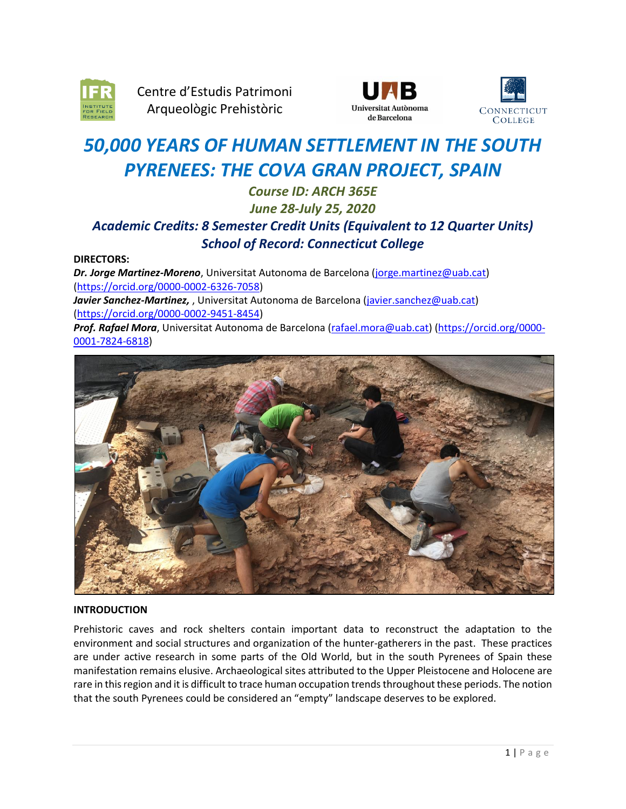

Centre d'Estudis Patrimoni Arqueològic Prehistòric





# *50,000 YEARS OF HUMAN SETTLEMENT IN THE SOUTH PYRENEES: THE COVA GRAN PROJECT, SPAIN*

# *Course ID: ARCH 365E June 28-July 25, 2020 Academic Credits: 8 Semester Credit Units (Equivalent to 12 Quarter Units) School of Record: Connecticut College*

# **DIRECTORS:**

*Dr. Jorge Martinez-Moreno*, Universitat Autonoma de Barcelona [\(jorge.martinez@uab.cat\)](mailto:jorge.martinez@uab.cat) [\(https://orcid.org/0000-0002-6326-7058\)](https://orcid.org/0000-0002-6326-7058) Javier Sanchez-Martinez,, Universitat Autonoma de Barcelona [\(javier.sanchez@uab.cat\)](mailto:javier.sanchez@uab.cat) [\(https://orcid.org/0000-0002-9451-8454\)](https://orcid.org/0000-0002-9451-8454) *Prof. Rafael Mora*, Universitat Autonoma de Barcelona [\(rafael.mora@uab.cat\)](mailto:rafael.mora@uab.cat) [\(https://orcid.org/0000-](https://orcid.org/0000-0001-7824-6818) [0001-7824-6818\)](https://orcid.org/0000-0001-7824-6818)



# **INTRODUCTION**

Prehistoric caves and rock shelters contain important data to reconstruct the adaptation to the environment and social structures and organization of the hunter-gatherers in the past. These practices are under active research in some parts of the Old World, but in the south Pyrenees of Spain these manifestation remains elusive. Archaeological sites attributed to the Upper Pleistocene and Holocene are rare in this region and it is difficult to trace human occupation trends throughout these periods. The notion that the south Pyrenees could be considered an "empty" landscape deserves to be explored.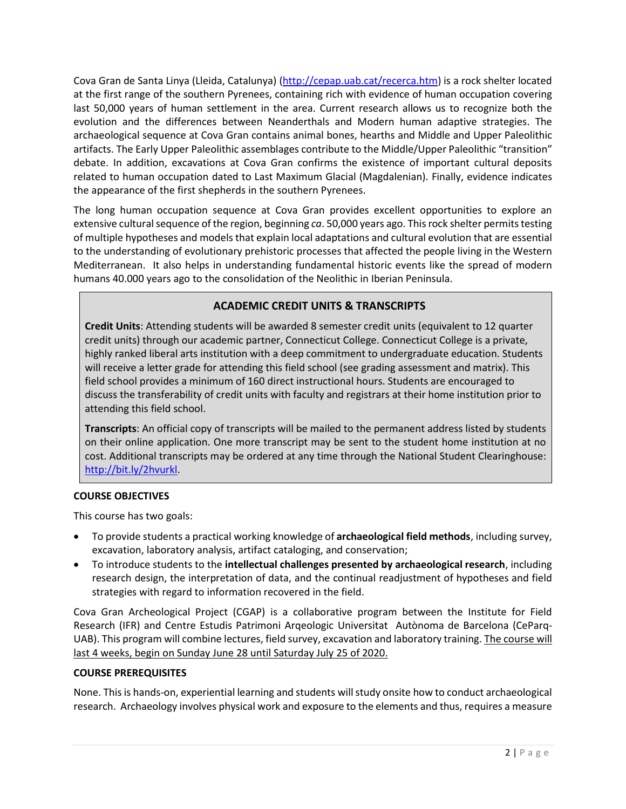Cova Gran de Santa Linya (Lleida, Catalunya) [\(http://cepap.uab.cat/recerca.htm\)](http://cepap.uab.cat/recerca.htm) is a rock shelter located at the first range of the southern Pyrenees, containing rich with evidence of human occupation covering last 50,000 years of human settlement in the area. Current research allows us to recognize both the evolution and the differences between Neanderthals and Modern human adaptive strategies. The archaeological sequence at Cova Gran contains animal bones, hearths and Middle and Upper Paleolithic artifacts. The Early Upper Paleolithic assemblages contribute to the Middle/Upper Paleolithic "transition" debate. In addition, excavations at Cova Gran confirms the existence of important cultural deposits related to human occupation dated to Last Maximum Glacial (Magdalenian). Finally, evidence indicates the appearance of the first shepherds in the southern Pyrenees.

The long human occupation sequence at Cova Gran provides excellent opportunities to explore an extensive cultural sequence of the region, beginning *ca*. 50,000 years ago. This rock shelter permits testing of multiple hypotheses and models that explain local adaptations and cultural evolution that are essential to the understanding of evolutionary prehistoric processes that affected the people living in the Western Mediterranean. It also helps in understanding fundamental historic events like the spread of modern humans 40.000 years ago to the consolidation of the Neolithic in Iberian Peninsula.

# **ACADEMIC CREDIT UNITS & TRANSCRIPTS**

**Credit Units**: Attending students will be awarded 8 semester credit units (equivalent to 12 quarter credit units) through our academic partner, Connecticut College. Connecticut College is a private, highly ranked liberal arts institution with a deep commitment to undergraduate education. Students will receive a letter grade for attending this field school (see grading assessment and matrix). This field school provides a minimum of 160 direct instructional hours. Students are encouraged to discuss the transferability of credit units with faculty and registrars at their home institution prior to attending this field school.

**Transcripts**: An official copy of transcripts will be mailed to the permanent address listed by students on their online application. One more transcript may be sent to the student home institution at no cost. Additional transcripts may be ordered at any time through the National Student Clearinghouse: [http://bit.ly/2hvurkl.](http://bit.ly/2hvurkl)

# **COURSE OBJECTIVES**

This course has two goals:

- To provide students a practical working knowledge of **archaeological field methods**, including survey, excavation, laboratory analysis, artifact cataloging, and conservation;
- To introduce students to the **intellectual challenges presented by archaeological research**, including research design, the interpretation of data, and the continual readjustment of hypotheses and field strategies with regard to information recovered in the field.

Cova Gran Archeological Project (CGAP) is a collaborative program between the Institute for Field Research (IFR) and Centre Estudis Patrimoni Arqeologic Universitat Autònoma de Barcelona (CeParq-UAB). This program will combine lectures, field survey, excavation and laboratory training. The course will last 4 weeks, begin on Sunday June 28 until Saturday July 25 of 2020.

# **COURSE PREREQUISITES**

None. This is hands-on, experiential learning and students will study onsite how to conduct archaeological research. Archaeology involves physical work and exposure to the elements and thus, requires a measure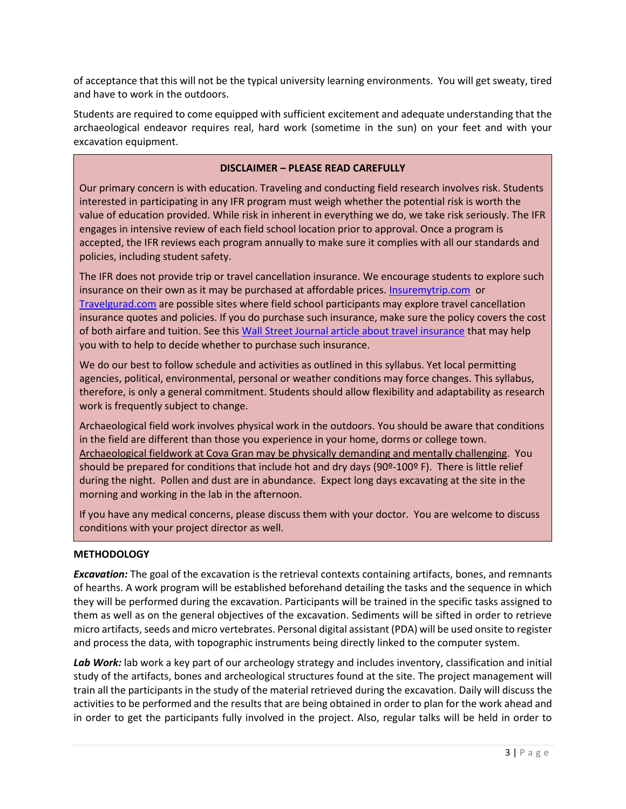of acceptance that this will not be the typical university learning environments. You will get sweaty, tired and have to work in the outdoors.

Students are required to come equipped with sufficient excitement and adequate understanding that the archaeological endeavor requires real, hard work (sometime in the sun) on your feet and with your excavation equipment.

# **DISCLAIMER – PLEASE READ CAREFULLY**

Our primary concern is with education. Traveling and conducting field research involves risk. Students interested in participating in any IFR program must weigh whether the potential risk is worth the value of education provided. While risk in inherent in everything we do, we take risk seriously. The IFR engages in intensive review of each field school location prior to approval. Once a program is accepted, the IFR reviews each program annually to make sure it complies with all our standards and policies, including student safety.

The IFR does not provide trip or travel cancellation insurance. We encourage students to explore such insurance on their own as it may be purchased at affordable prices[. Insuremytrip.com](http://www.insuremytrip.com/) or [Travelgurad.com](http://www.travelgurad.com/) are possible sites where field school participants may explore travel cancellation insurance quotes and policies. If you do purchase such insurance, make sure the policy covers the cost of both airfare and tuition. See thi[s Wall Street Journal article about travel insurance](https://ifrglobal.org/wp-content/uploads/2019/05/WSJ-04-03-19-Travel-Insurance.pdf) that may help you with to help to decide whether to purchase such insurance.

We do our best to follow schedule and activities as outlined in this syllabus. Yet local permitting agencies, political, environmental, personal or weather conditions may force changes. This syllabus, therefore, is only a general commitment. Students should allow flexibility and adaptability as research work is frequently subject to change.

Archaeological field work involves physical work in the outdoors. You should be aware that conditions in the field are different than those you experience in your home, dorms or college town. Archaeological fieldwork at Cova Gran may be physically demanding and mentally challenging. You should be prepared for conditions that include hot and dry days (90°-100° F). There is little relief during the night. Pollen and dust are in abundance. Expect long days excavating at the site in the morning and working in the lab in the afternoon.

If you have any medical concerns, please discuss them with your doctor. You are welcome to discuss conditions with your project director as well.

# **METHODOLOGY**

*Excavation:* The goal of the excavation is the retrieval contexts containing artifacts, bones, and remnants of hearths. A work program will be established beforehand detailing the tasks and the sequence in which they will be performed during the excavation. Participants will be trained in the specific tasks assigned to them as well as on the general objectives of the excavation. Sediments will be sifted in order to retrieve micro artifacts, seeds and micro vertebrates. Personal digital assistant (PDA) will be used onsite to register and process the data, with topographic instruments being directly linked to the computer system.

*Lab Work:* lab work a key part of our archeology strategy and includes inventory, classification and initial study of the artifacts, bones and archeological structures found at the site. The project management will train all the participants in the study of the material retrieved during the excavation. Daily will discuss the activities to be performed and the results that are being obtained in order to plan for the work ahead and in order to get the participants fully involved in the project. Also, regular talks will be held in order to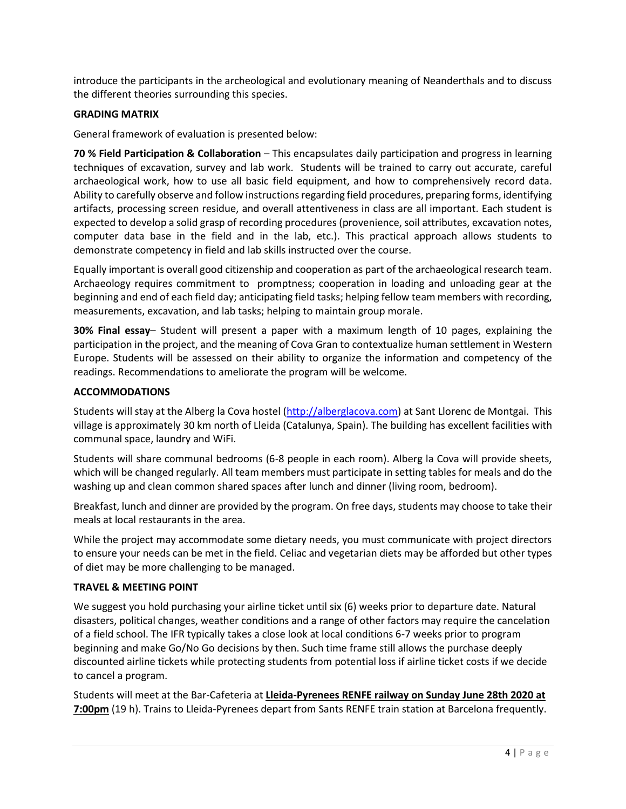introduce the participants in the archeological and evolutionary meaning of Neanderthals and to discuss the different theories surrounding this species.

# **GRADING MATRIX**

General framework of evaluation is presented below:

**70 % Field Participation & Collaboration** – This encapsulates daily participation and progress in learning techniques of excavation, survey and lab work. Students will be trained to carry out accurate, careful archaeological work, how to use all basic field equipment, and how to comprehensively record data. Ability to carefully observe and follow instructions regarding field procedures, preparing forms, identifying artifacts, processing screen residue, and overall attentiveness in class are all important. Each student is expected to develop a solid grasp of recording procedures (provenience, soil attributes, excavation notes, computer data base in the field and in the lab, etc.). This practical approach allows students to demonstrate competency in field and lab skills instructed over the course.

Equally important is overall good citizenship and cooperation as part of the archaeological research team. Archaeology requires commitment to promptness; cooperation in loading and unloading gear at the beginning and end of each field day; anticipating field tasks; helping fellow team members with recording, measurements, excavation, and lab tasks; helping to maintain group morale.

**30% Final essay**– Student will present a paper with a maximum length of 10 pages, explaining the participation in the project, and the meaning of Cova Gran to contextualize human settlement in Western Europe. Students will be assessed on their ability to organize the information and competency of the readings. Recommendations to ameliorate the program will be welcome.

#### **ACCOMMODATIONS**

Students will stay at the Alberg la Cova hostel [\(http://alberglacova.com\)](http://alberglacova.com/) at Sant Llorenc de Montgai. This village is approximately 30 km north of Lleida (Catalunya, Spain). The building has excellent facilities with communal space, laundry and WiFi.

Students will share communal bedrooms (6-8 people in each room). Alberg la Cova will provide sheets, which will be changed regularly. All team members must participate in setting tables for meals and do the washing up and clean common shared spaces after lunch and dinner (living room, bedroom).

Breakfast, lunch and dinner are provided by the program. On free days, students may choose to take their meals at local restaurants in the area.

While the project may accommodate some dietary needs, you must communicate with project directors to ensure your needs can be met in the field. Celiac and vegetarian diets may be afforded but other types of diet may be more challenging to be managed.

# **TRAVEL & MEETING POINT**

We suggest you hold purchasing your airline ticket until six (6) weeks prior to departure date. Natural disasters, political changes, weather conditions and a range of other factors may require the cancelation of a field school. The IFR typically takes a close look at local conditions 6-7 weeks prior to program beginning and make Go/No Go decisions by then. Such time frame still allows the purchase deeply discounted airline tickets while protecting students from potential loss if airline ticket costs if we decide to cancel a program.

Students will meet at the Bar-Cafeteria at **Lleida-Pyrenees RENFE railway on Sunday June 28th 2020 at 7:00pm** (19 h). Trains to Lleida-Pyrenees depart from Sants RENFE train station at Barcelona frequently.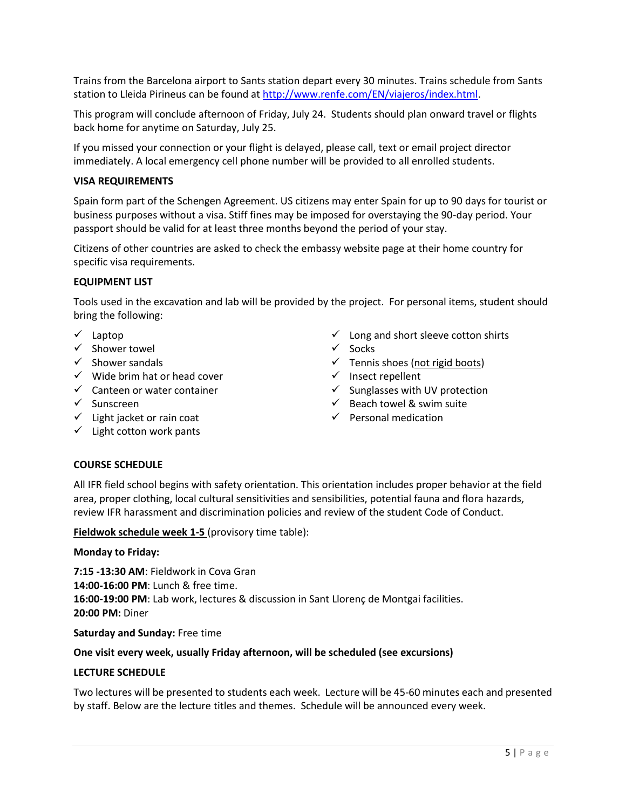Trains from the Barcelona airport to Sants station depart every 30 minutes. Trains schedule from Sants station to Lleida Pirineus can be found at [http://www.renfe.com/EN/viajeros/index.html.](http://www.renfe.com/EN/viajeros/index.html)

This program will conclude afternoon of Friday, July 24. Students should plan onward travel or flights back home for anytime on Saturday, July 25.

If you missed your connection or your flight is delayed, please call, text or email project director immediately. A local emergency cell phone number will be provided to all enrolled students.

#### **VISA REQUIREMENTS**

Spain form part of the Schengen Agreement. US citizens may enter Spain for up to 90 days for tourist or business purposes without a visa. Stiff fines may be imposed for overstaying the 90-day period. Your passport should be valid for at least three months beyond the period of your stay.

Citizens of other countries are asked to check the embassy website page at their home country for specific visa requirements.

#### **EQUIPMENT LIST**

Tools used in the excavation and lab will be provided by the project. For personal items, student should bring the following:

- ✓ Laptop
- ✓ Shower towel
- $\checkmark$  Shower sandals
- $\checkmark$  Wide brim hat or head cover
- $\checkmark$  Canteen or water container
- ✓ Sunscreen
- $\checkmark$  Light jacket or rain coat
- $\checkmark$  Light cotton work pants
- $\checkmark$  Long and short sleeve cotton shirts
- ✓ Socks
- $\checkmark$  Tennis shoes (not rigid boots)
- ✓ Insect repellent
- $\checkmark$  Sunglasses with UV protection
- $\checkmark$  Beach towel & swim suite
- $\checkmark$  Personal medication

# **COURSE SCHEDULE**

All IFR field school begins with safety orientation. This orientation includes proper behavior at the field area, proper clothing, local cultural sensitivities and sensibilities, potential fauna and flora hazards, review IFR harassment and discrimination policies and review of the student Code of Conduct.

**Fieldwok schedule week 1-5** (provisory time table):

#### **Monday to Friday:**

**7:15 -13:30 AM**: Fieldwork in Cova Gran **14:00-16:00 PM**: Lunch & free time. **16:00-19:00 PM**: Lab work, lectures & discussion in Sant Llorenç de Montgai facilities. **20:00 PM:** Diner

#### **Saturday and Sunday:** Free time

#### **One visit every week, usually Friday afternoon, will be scheduled (see excursions)**

#### **LECTURE SCHEDULE**

Two lectures will be presented to students each week. Lecture will be 45-60 minutes each and presented by staff. Below are the lecture titles and themes. Schedule will be announced every week.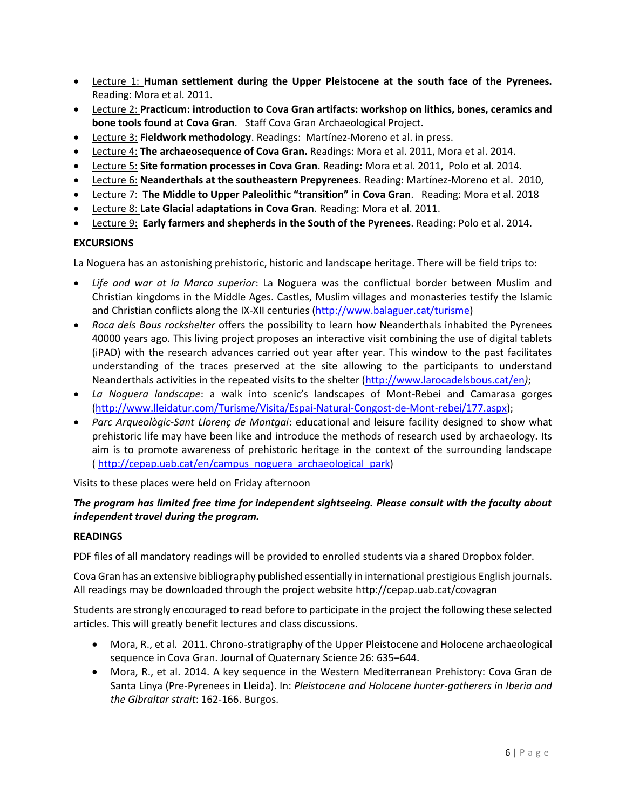- Lecture 1: **Human settlement during the Upper Pleistocene at the south face of the Pyrenees.** Reading: Mora et al. 2011.
- Lecture 2: **Practicum: introduction to Cova Gran artifacts: workshop on lithics, bones, ceramics and bone tools found at Cova Gran**. Staff Cova Gran Archaeological Project.
- Lecture 3: **Fieldwork methodology**. Readings: Martínez-Moreno et al. in press.
- Lecture 4: **The archaeosequence of Cova Gran.** Readings: Mora et al. 2011, Mora et al. 2014.
- Lecture 5: **Site formation processes in Cova Gran**. Reading: Mora et al. 2011, Polo et al. 2014.
- Lecture 6: **Neanderthals at the southeastern Prepyrenees**. Reading: Martínez-Moreno et al. 2010,
- Lecture 7: **The Middle to Upper Paleolithic "transition" in Cova Gran**. Reading: Mora et al. 2018
- Lecture 8: **Late Glacial adaptations in Cova Gran**. Reading: Mora et al. 2011.
- Lecture 9: **Early farmers and shepherds in the South of the Pyrenees**. Reading: Polo et al. 2014.

#### **EXCURSIONS**

La Noguera has an astonishing prehistoric, historic and landscape heritage. There will be field trips to:

- *Life and war at la Marca superior*: La Noguera was the conflictual border between Muslim and Christian kingdoms in the Middle Ages. Castles, Muslim villages and monasteries testify the Islamic and Christian conflicts along the IX-XII centuries [\(http://www.balaguer.cat/turisme\)](http://www.balaguer.cat/turisme)
- *Roca dels Bous rockshelter* offers the possibility to learn how Neanderthals inhabited the Pyrenees 40000 years ago. This living project proposes an interactive visit combining the use of digital tablets (iPAD) with the research advances carried out year after year. This window to the past facilitates understanding of the traces preserved at the site allowing to the participants to understand Neanderthals activities in the repeated visits to the shelter [\(http://www.larocadelsbous.cat/en](http://www.larocadelsbous.cat/en)*)*;
- *La Noguera landscape*: a walk into scenic's landscapes of Mont-Rebei and Camarasa gorges [\(http://www.lleidatur.com/Turisme/Visita/Espai-Natural-Congost-de-Mont-rebei/177.aspx\)](http://www.lleidatur.com/Turisme/Visita/Espai-Natural-Congost-de-Mont-rebei/177.aspx);
- *Parc Arqueològic-Sant Llorenç de Montgai*: educational and leisure facility designed to show what prehistoric life may have been like and introduce the methods of research used by archaeology. Its aim is to promote awareness of prehistoric heritage in the context of the surrounding landscape ( [http://cepap.uab.cat/en/campus\\_noguera\\_archaeological\\_park\)](http://cepap.uab.cat/en/campus_noguera_archaeological_park)

Visits to these places were held on Friday afternoon

# *The program has limited free time for independent sightseeing. Please consult with the faculty about independent travel during the program.*

# **READINGS**

PDF files of all mandatory readings will be provided to enrolled students via a shared Dropbox folder.

Cova Gran has an extensive bibliography published essentially in international prestigious English journals. All readings may be downloaded through the project website <http://cepap.uab.cat/covagran>

Students are strongly encouraged to read before to participate in the project the following these selected articles. This will greatly benefit lectures and class discussions.

- Mora, R., et al. 2011. Chrono-stratigraphy of the Upper Pleistocene and Holocene archaeological sequence in Cova Gran. Journal of Quaternary Science 26: 635–644.
- Mora, R., et al. 2014. A key sequence in the Western Mediterranean Prehistory: Cova Gran de Santa Linya (Pre-Pyrenees in Lleida). In: *Pleistocene and Holocene hunter-gatherers in Iberia and the Gibraltar strait*: 162-166. Burgos.